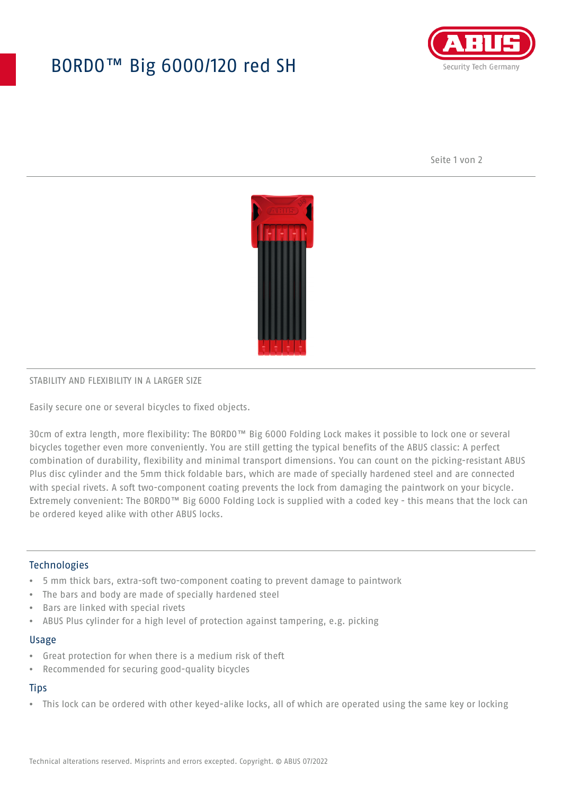# BORDO™ Big 6000/120 red SH



Seite 1 von 2



## STABILITY AND FLEXIBILITY IN A LARGER SIZE

Easily secure one or several bicycles to fixed objects.

30cm of extra length, more flexibility: The BORDO™ Big 6000 Folding Lock makes it possible to lock one or several bicycles together even more conveniently. You are still getting the typical benefits of the ABUS classic: A perfect combination of durability, flexibility and minimal transport dimensions. You can count on the picking-resistant ABUS Plus disc cylinder and the 5mm thick foldable bars, which are made of specially hardened steel and are connected with special rivets. A soft two-component coating prevents the lock from damaging the paintwork on your bicycle. Extremely convenient: The BORDO™ Big 6000 Folding Lock is supplied with a coded key - this means that the lock can be ordered keyed alike with other ABUS locks.

## **Technologies**

- 5 mm thick bars, extra-soft two-component coating to prevent damage to paintwork
- The bars and body are made of specially hardened steel
- Bars are linked with special rivets
- ABUS Plus cylinder for a high level of protection against tampering, e.g. picking

#### Usage

- Great protection for when there is a medium risk of theft
- Recommended for securing good-quality bicycles

## **Tips**

• This lock can be ordered with other keyed-alike locks, all of which are operated using the same key or locking